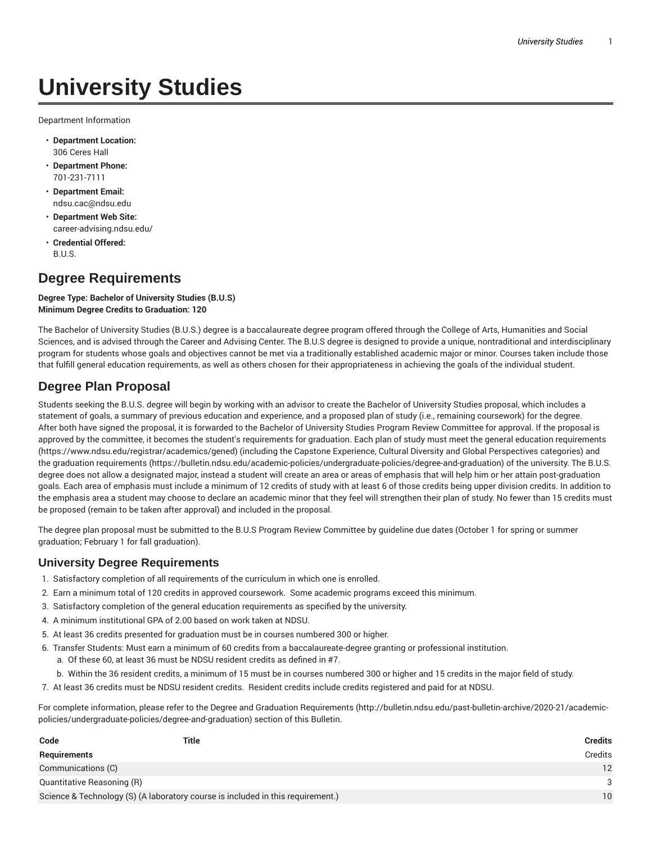# **University Studies**

Department Information

- **Department Location:** 306 Ceres Hall
- **Department Phone:** 701-231-7111
- **Department Email:** ndsu.cac@ndsu.edu
- **Department Web Site:** career-advising.ndsu.edu/
- **Credential Offered:** B.U.S.

## **Degree Requirements**

#### **Degree Type: Bachelor of University Studies (B.U.S) Minimum Degree Credits to Graduation: 120**

The Bachelor of University Studies (B.U.S.) degree is a baccalaureate degree program offered through the College of Arts, Humanities and Social Sciences, and is advised through the Career and Advising Center. The B.U.S degree is designed to provide a unique, nontraditional and interdisciplinary program for students whose goals and objectives cannot be met via a traditionally established academic major or minor. Courses taken include those that fulfill general education requirements, as well as others chosen for their appropriateness in achieving the goals of the individual student.

## **Degree Plan Proposal**

Students seeking the B.U.S. degree will begin by working with an advisor to create the Bachelor of University Studies proposal, which includes a statement of goals, a summary of previous education and experience, and a proposed plan of study (i.e., remaining coursework) for the degree. After both have signed the proposal, it is forwarded to the Bachelor of University Studies Program Review Committee for approval. If the proposal is approved by the committee, it becomes the student's requirements for graduation. Each plan of study must meet the general education requirements (https://www.ndsu.edu/registrar/academics/gened) (including the Capstone Experience, Cultural Diversity and Global Perspectives categories) and the graduation requirements (https://bulletin.ndsu.edu/academic-policies/undergraduate-policies/degree-and-graduation) of the university. The B.U.S. degree does not allow a designated major, instead a student will create an area or areas of emphasis that will help him or her attain post-graduation goals. Each area of emphasis must include a minimum of 12 credits of study with at least 6 of those credits being upper division credits. In addition to the emphasis area a student may choose to declare an academic minor that they feel will strengthen their plan of study. No fewer than 15 credits must be proposed (remain to be taken after approval) and included in the proposal.

The degree plan proposal must be submitted to the B.U.S Program Review Committee by guideline due dates (October 1 for spring or summer graduation; February 1 for fall graduation).

#### **University Degree Requirements**

- 1. Satisfactory completion of all requirements of the curriculum in which one is enrolled.
- 2. Earn a minimum total of 120 credits in approved coursework. Some academic programs exceed this minimum.
- 3. Satisfactory completion of the general education requirements as specified by the university.
- 4. A minimum institutional GPA of 2.00 based on work taken at NDSU.
- 5. At least 36 credits presented for graduation must be in courses numbered 300 or higher.
- 6. Transfer Students: Must earn a minimum of 60 credits from a baccalaureate-degree granting or professional institution. a. Of these 60, at least 36 must be NDSU resident credits as defined in #7.
	- b. Within the 36 resident credits, a minimum of 15 must be in courses numbered 300 or higher and 15 credits in the major field of study.
- 7. At least 36 credits must be NDSU resident credits. Resident credits include credits registered and paid for at NDSU.

For complete information, please refer to the Degree and Graduation Requirements (http://bulletin.ndsu.edu/past-bulletin-archive/2020-21/academicpolicies/undergraduate-policies/degree-and-graduation) section of this Bulletin.

| Code                       | Title                                                                           | <b>Credits</b> |
|----------------------------|---------------------------------------------------------------------------------|----------------|
| Requirements               |                                                                                 | Credits        |
| Communications (C)         |                                                                                 | 12             |
| Quantitative Reasoning (R) |                                                                                 | 3              |
|                            | Science & Technology (S) (A laboratory course is included in this requirement.) | 10             |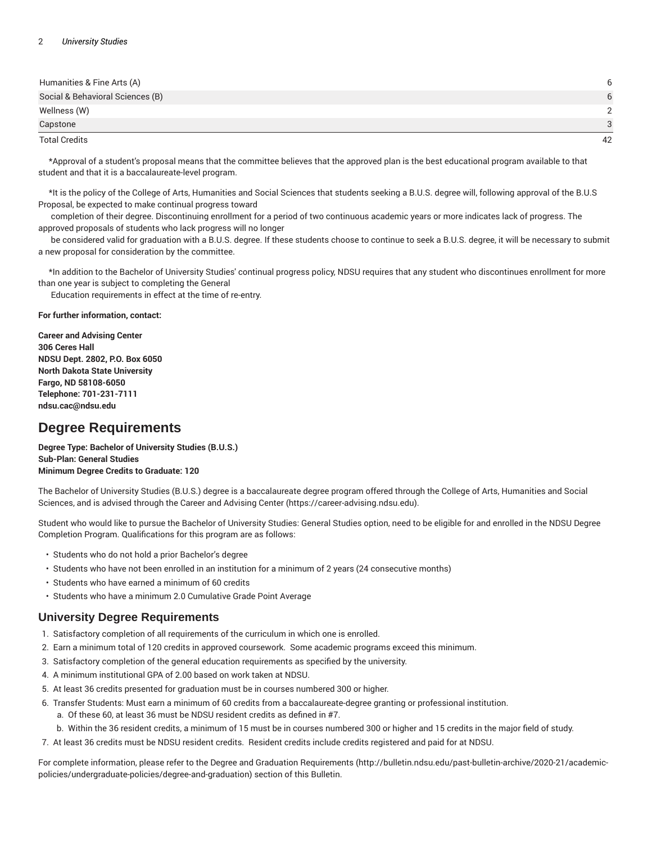| Humanities & Fine Arts (A)       |    |
|----------------------------------|----|
| Social & Behavioral Sciences (B) |    |
| Wellness (W)                     |    |
| Capstone                         | 3  |
| <b>Total Credits</b>             | 42 |

\*Approval of a student's proposal means that the committee believes that the approved plan is the best educational program available to that student and that it is a baccalaureate-level program.

\*It is the policy of the College of Arts, Humanities and Social Sciences that students seeking a B.U.S. degree will, following approval of the B.U.S Proposal, be expected to make continual progress toward

completion of their degree. Discontinuing enrollment for a period of two continuous academic years or more indicates lack of progress. The approved proposals of students who lack progress will no longer

be considered valid for graduation with a B.U.S. degree. If these students choose to continue to seek a B.U.S. degree, it will be necessary to submit a new proposal for consideration by the committee.

\*In addition to the Bachelor of University Studies' continual progress policy, NDSU requires that any student who discontinues enrollment for more than one year is subject to completing the General

Education requirements in effect at the time of re-entry.

**For further information, contact:**

**Career and Advising Center 306 Ceres Hall NDSU Dept. 2802, P.O. Box 6050 North Dakota State University Fargo, ND 58108-6050 Telephone: 701-231-7111 ndsu.cac@ndsu.edu**

## **Degree Requirements**

**Degree Type: Bachelor of University Studies (B.U.S.) Sub-Plan: General Studies Minimum Degree Credits to Graduate: 120**

The Bachelor of University Studies (B.U.S.) degree is a baccalaureate degree program offered through the College of Arts, Humanities and Social Sciences, and is advised through the Career and Advising Center (https://career-advising.ndsu.edu).

Student who would like to pursue the Bachelor of University Studies: General Studies option, need to be eligible for and enrolled in the NDSU Degree Completion Program. Qualifications for this program are as follows:

- Students who do not hold a prior Bachelor's degree
- Students who have not been enrolled in an institution for a minimum of 2 years (24 consecutive months)
- Students who have earned a minimum of 60 credits
- Students who have a minimum 2.0 Cumulative Grade Point Average

## **University Degree Requirements**

- 1. Satisfactory completion of all requirements of the curriculum in which one is enrolled.
- 2. Earn a minimum total of 120 credits in approved coursework. Some academic programs exceed this minimum.
- 3. Satisfactory completion of the general education requirements as specified by the university.
- 4. A minimum institutional GPA of 2.00 based on work taken at NDSU.
- 5. At least 36 credits presented for graduation must be in courses numbered 300 or higher.
- 6. Transfer Students: Must earn a minimum of 60 credits from a baccalaureate-degree granting or professional institution.
	- a. Of these 60, at least 36 must be NDSU resident credits as defined in #7.
	- b. Within the 36 resident credits, a minimum of 15 must be in courses numbered 300 or higher and 15 credits in the major field of study.
- 7. At least 36 credits must be NDSU resident credits. Resident credits include credits registered and paid for at NDSU.

For complete information, please refer to the Degree and Graduation Requirements (http://bulletin.ndsu.edu/past-bulletin-archive/2020-21/academicpolicies/undergraduate-policies/degree-and-graduation) section of this Bulletin.